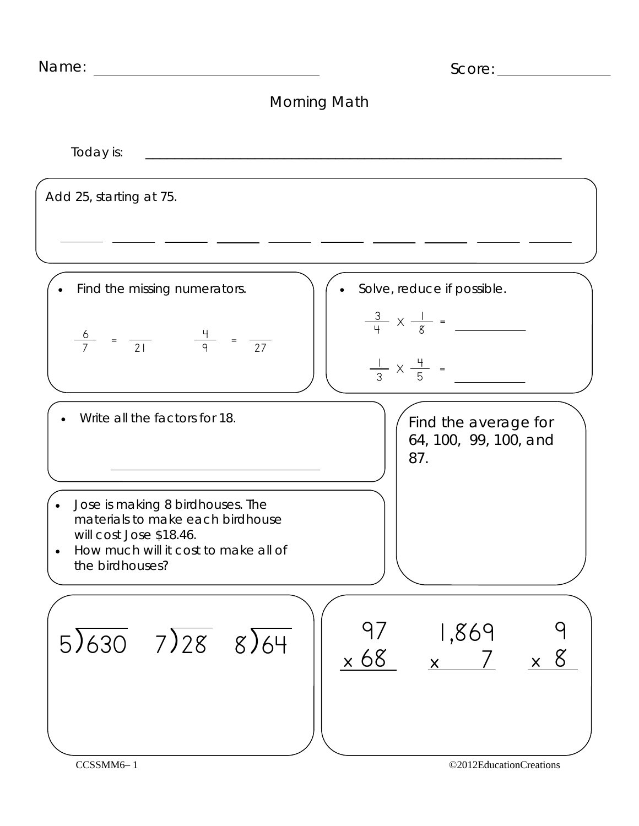| Name:                                                                                                                                                      | Score:                                                                                  |
|------------------------------------------------------------------------------------------------------------------------------------------------------------|-----------------------------------------------------------------------------------------|
|                                                                                                                                                            | Morning Math                                                                            |
| Today is:                                                                                                                                                  |                                                                                         |
| Add 25, starting at 75.                                                                                                                                    |                                                                                         |
|                                                                                                                                                            |                                                                                         |
| Find the missing numerators.                                                                                                                               | Solve, reduce if possible.                                                              |
| $\frac{6}{7} = \frac{4}{21}$ $\frac{4}{9} = \frac{27}{1}$                                                                                                  | $\frac{3}{4} \times \frac{1}{8} =$<br>$\frac{1}{3} \times \frac{4}{5}$ =                |
| Write all the factors for 18.                                                                                                                              | Find the average for<br>64, 100, 99, 100, and<br>87.                                    |
| Jose is making 8 birdhouses. The<br>materials to make each birdhouse<br>will cost Jose \$18.46.<br>How much will it cost to make all of<br>the birdhouses? |                                                                                         |
| $5\sqrt{630}$ $7\sqrt{28}$ $8\sqrt{64}$                                                                                                                    | 1,869<br>97<br>$\times 68$<br>$x \overline{7}$<br>$\times$ 8<br>©2012EducationCreations |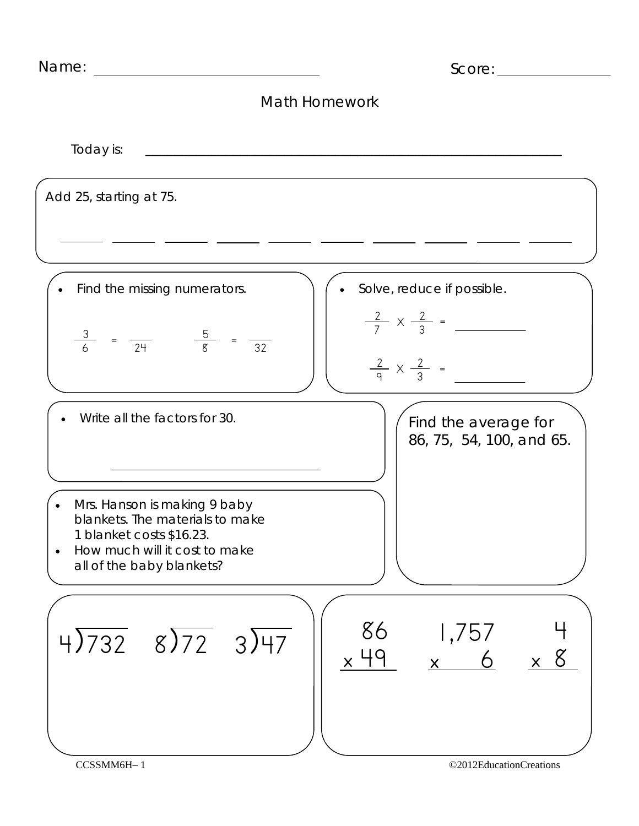| Math Homework                                                                                                                                                          |                                                                          |
|------------------------------------------------------------------------------------------------------------------------------------------------------------------------|--------------------------------------------------------------------------|
|                                                                                                                                                                        |                                                                          |
| Today is:                                                                                                                                                              |                                                                          |
| Add 25, starting at 75.                                                                                                                                                |                                                                          |
|                                                                                                                                                                        |                                                                          |
| Find the missing numerators.                                                                                                                                           | Solve, reduce if possible.                                               |
| $\frac{3}{6} = \frac{5}{24} = \frac{5}{8} = \frac{1}{32}$                                                                                                              | $\frac{2}{7} \times \frac{2}{3} =$<br>$\frac{2}{9} \times \frac{2}{3}$ = |
| Write all the factors for 30.<br><u> 1989 - Johann Barn, fransk politik amerikansk politik (</u>                                                                       | Find the average for<br>86, 75, 54, 100, and 65.                         |
| Mrs. Hanson is making 9 baby<br>blankets. The materials to make<br>1 blanket costs \$16.23.<br>How much will it cost to make<br>$\bullet$<br>all of the baby blankets? |                                                                          |
| 86<br>$4\overline{)732}$ $8\overline{)72}$ $3\overline{)47}$<br>$\times$ 49                                                                                            | 1,757<br>$x$ 6<br>$\times$ 8                                             |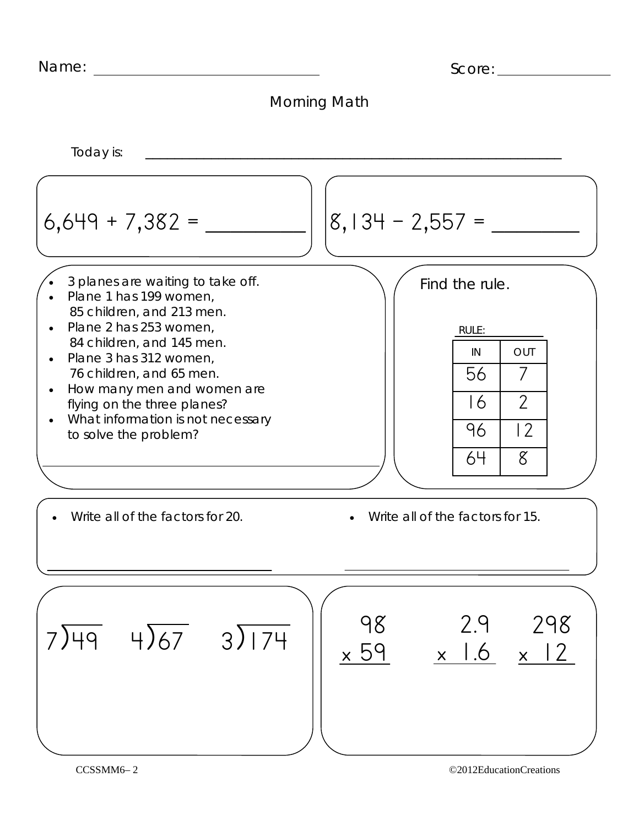| Name: | Score: |
|-------|--------|
|       |        |



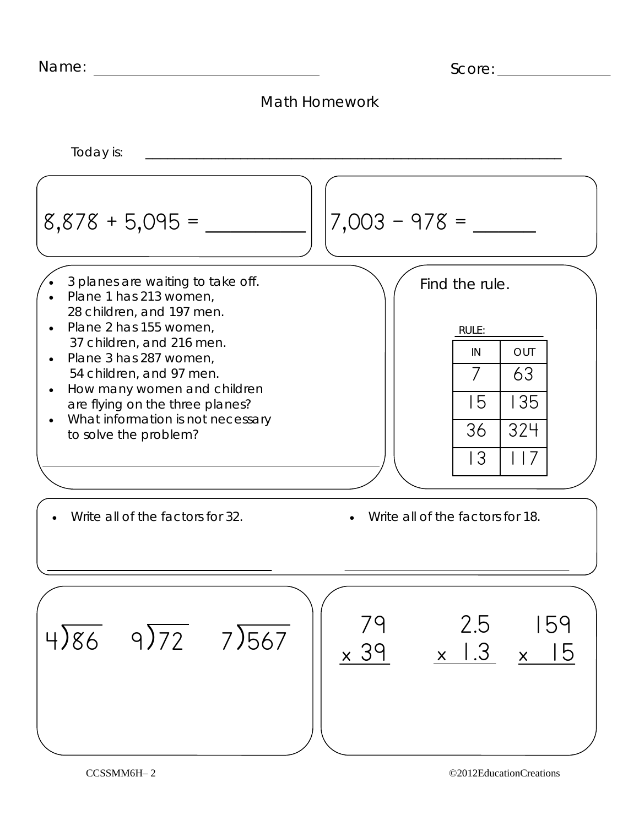| Name: | Score: |
|-------|--------|
|       |        |



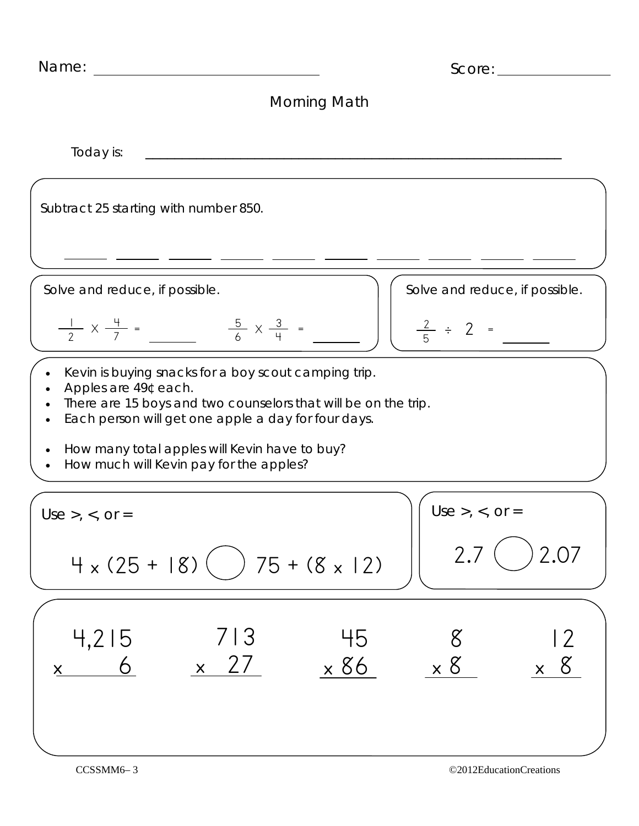| Name:                                                                                                                                                                                                                                                                                                          | Score:                                                  |  |
|----------------------------------------------------------------------------------------------------------------------------------------------------------------------------------------------------------------------------------------------------------------------------------------------------------------|---------------------------------------------------------|--|
| Morning Math                                                                                                                                                                                                                                                                                                   |                                                         |  |
| Today is:                                                                                                                                                                                                                                                                                                      |                                                         |  |
| Subtract 25 starting with number 850.                                                                                                                                                                                                                                                                          |                                                         |  |
|                                                                                                                                                                                                                                                                                                                |                                                         |  |
| Solve and reduce, if possible.                                                                                                                                                                                                                                                                                 | Solve and reduce, if possible.                          |  |
| $\frac{1}{2} \times \frac{4}{7}$ =<br>$\frac{5}{6}$ X $\frac{3}{4}$ =                                                                                                                                                                                                                                          | $\frac{2}{5}$ ÷ 2 =                                     |  |
| Kevin is buying snacks for a boy scout camping trip.<br>Apples are 49¢ each.<br>There are 15 boys and two counselors that will be on the trip.<br>Each person will get one apple a day for four days.<br>How many total apples will Kevin have to buy?<br>$\bullet$<br>How much will Kevin pay for the apples? |                                                         |  |
| $Use >, <, or =$                                                                                                                                                                                                                                                                                               | $Use >, <, or =$                                        |  |
| $4 \times (25 + 18)$ ( ) 75 + (8 x 12)                                                                                                                                                                                                                                                                         | 2.07<br>2.7                                             |  |
| 4,215<br>713<br>$\times$ 27<br>$x \t 6$                                                                                                                                                                                                                                                                        | 2<br>45<br>8<br>$\times 8$<br>$\times 86$<br>$\times$ 8 |  |
|                                                                                                                                                                                                                                                                                                                |                                                         |  |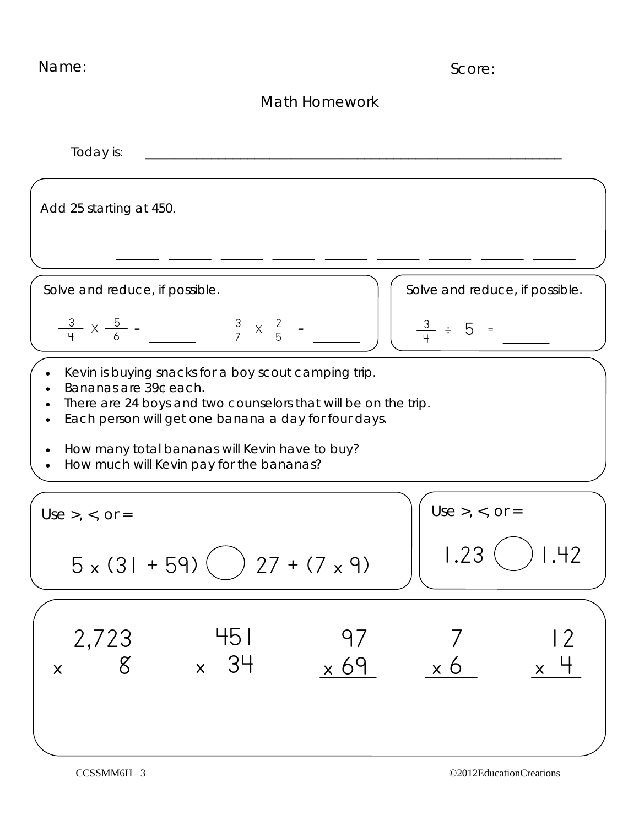| Name:                                                                                                                                                                                                   | Score:                                     |
|---------------------------------------------------------------------------------------------------------------------------------------------------------------------------------------------------------|--------------------------------------------|
| <b>Math Homework</b>                                                                                                                                                                                    |                                            |
| Today is:                                                                                                                                                                                               |                                            |
| Add 25 starting at 450.                                                                                                                                                                                 |                                            |
|                                                                                                                                                                                                         |                                            |
| Solve and reduce, if possible.                                                                                                                                                                          | Solve and reduce, if possible.             |
| $\frac{3}{4} \times \frac{5}{6}$ =<br>$\frac{3}{7} \times \frac{2}{5}$ =                                                                                                                                | $\frac{3}{4}$ ÷ 5 =                        |
| Kevin is buying snacks for a boy scout camping trip.<br>Bananas are 39¢ each.<br>There are 24 boys and two counselors that will be on the trip.<br>Each person will get one banana a day for four days. |                                            |
| How many total bananas will Kevin have to buy?<br>How much will Kevin pay for the bananas?                                                                                                              |                                            |
| Use >, <, or =                                                                                                                                                                                          | Use >, <, $or =$                           |
| $5 \times (31 + 59)$ ( ) 27 + (7 x 9)                                                                                                                                                                   | ) 1.42<br>1.23                             |
| 451<br>2,723<br>97<br>$\times$ 34<br>$\times 69$<br>$x$ $8$                                                                                                                                             | $\overline{2}$<br>$\times 6$<br>$\times$ 4 |
|                                                                                                                                                                                                         |                                            |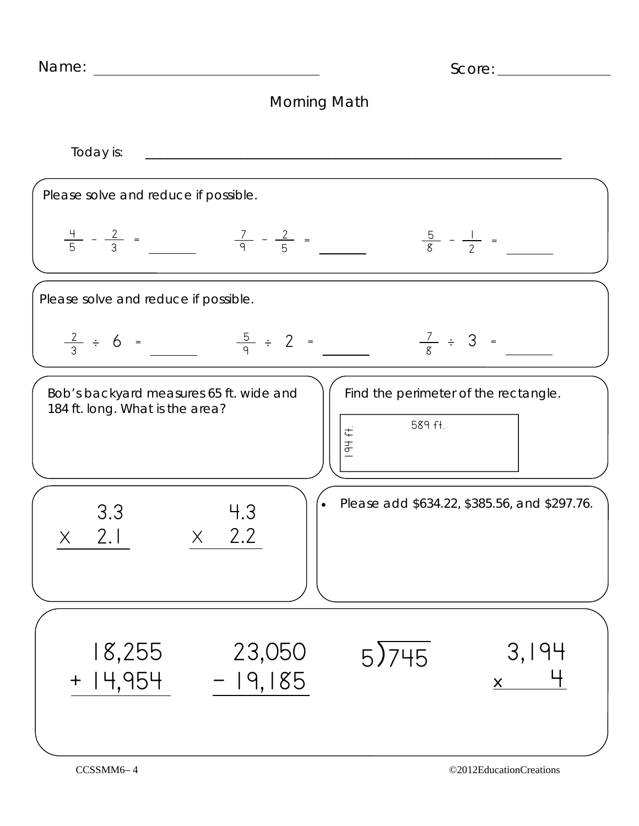| Name:                                                                      | Score:                                                    |
|----------------------------------------------------------------------------|-----------------------------------------------------------|
| Morning Math                                                               |                                                           |
| Today is:                                                                  |                                                           |
| Please solve and reduce if possible.                                       |                                                           |
| $\frac{4}{5} - \frac{2}{3} = \frac{7}{9} - \frac{2}{5} =$                  | $\frac{5}{8} - \frac{1}{2}$ =                             |
| Please solve and reduce if possible.                                       |                                                           |
| $\frac{5}{9} \div 2 =$<br>$\frac{2}{3} \div 6 =$                           | $\frac{7}{8} \div 3 =$                                    |
| Bob's backyard measures 65 ft. wide and<br>184 ft. long. What is the area? | Find the perimeter of the rectangle.<br>589 ft.<br>194f.  |
| 3.3<br>2.2<br>2.1<br>$\times$<br>X                                         | Please add \$634.22, \$385.56, and \$297.76.<br>$\bullet$ |
| 23,050<br>18,255<br>$+$ $ $ 4,954<br>$-19,185$                             | 3,194<br>5)745<br>$\underline{\mathsf{X}}$                |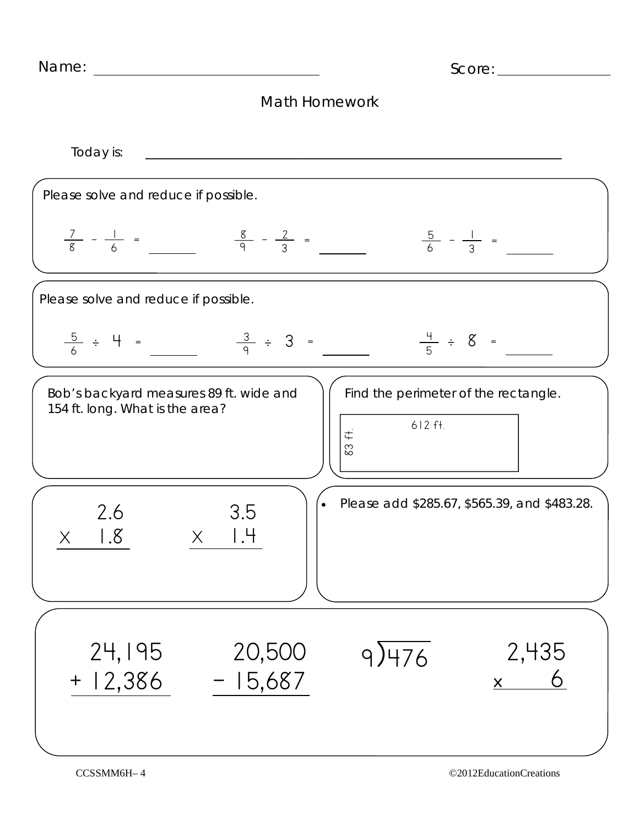Name: Score: Math Homework Today is: \_\_\_\_\_\_\_\_\_\_\_\_\_\_\_\_\_\_\_\_\_\_\_\_\_\_\_\_\_\_\_\_\_\_\_\_\_\_\_\_\_\_\_\_\_\_\_\_\_\_\_\_\_\_\_\_\_ Please solve and reduce if possible.  $\frac{7}{8} - \frac{1}{6} =$   $\frac{8}{9} - \frac{2}{3} =$   $\frac{5}{6} - \frac{1}{3} =$ Bob's backyard measures 89 ft. wide and 154 ft. long. What is the area? Please add \$285.67, \$565.39, and \$483.28. Find the perimeter of the rectangle. 612 ft. 83 ft. Please solve and reduce if possible.  $\frac{5}{6} \div 4 = \frac{3}{9} \div 3 = \frac{4}{5} \div$  $\frac{4}{5} \div 8 =$ 2.6  $\times$  1.8 3.5  $X$  1.4 24,195 20,500  $9)476$  2,435

 $+ 12,386 - 15,687$ 

 $x$  6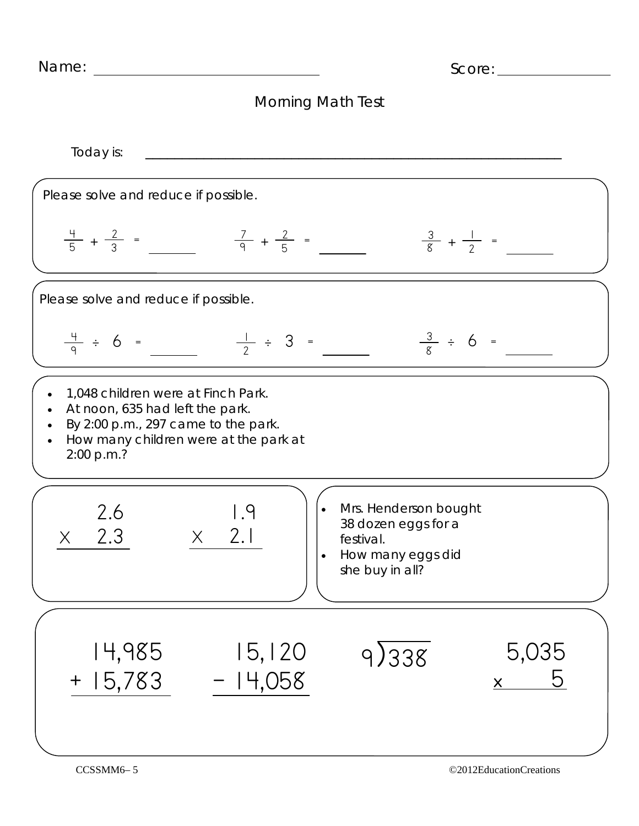Name: Score:

## Morning Math Test

Today is: \_\_\_\_\_\_\_\_\_\_\_\_\_\_\_\_\_\_\_\_\_\_\_\_\_\_\_\_\_\_\_\_\_\_\_\_\_\_\_\_\_\_\_\_\_\_\_\_\_\_\_\_\_\_\_\_\_ Please solve and reduce if possible.  $\frac{4}{5} + \frac{2}{3} =$   $\frac{7}{9} + \frac{2}{5} =$   $\frac{3}{8} + \frac{1}{2} =$ • 1,048 children were at Finch Park. At noon, 635 had left the park. By  $2:00$  p.m., 297 came to the park. • How many children were at the park at 2:00 p.m.? • Mrs. Henderson bought 38 dozen eggs for a festival. • How many eggs did she buy in all? Please solve and reduce if possible.  $\frac{4}{9} \div 6 =$   $\frac{1}{2} \div 3 =$   $\frac{3}{8} \div 6 =$ 2.6 X 2.3 1.9  $X$  2.1 14,985 15,120 <u>+ 15,783</u> – 14,058 9)338 5,035  $\times$  5